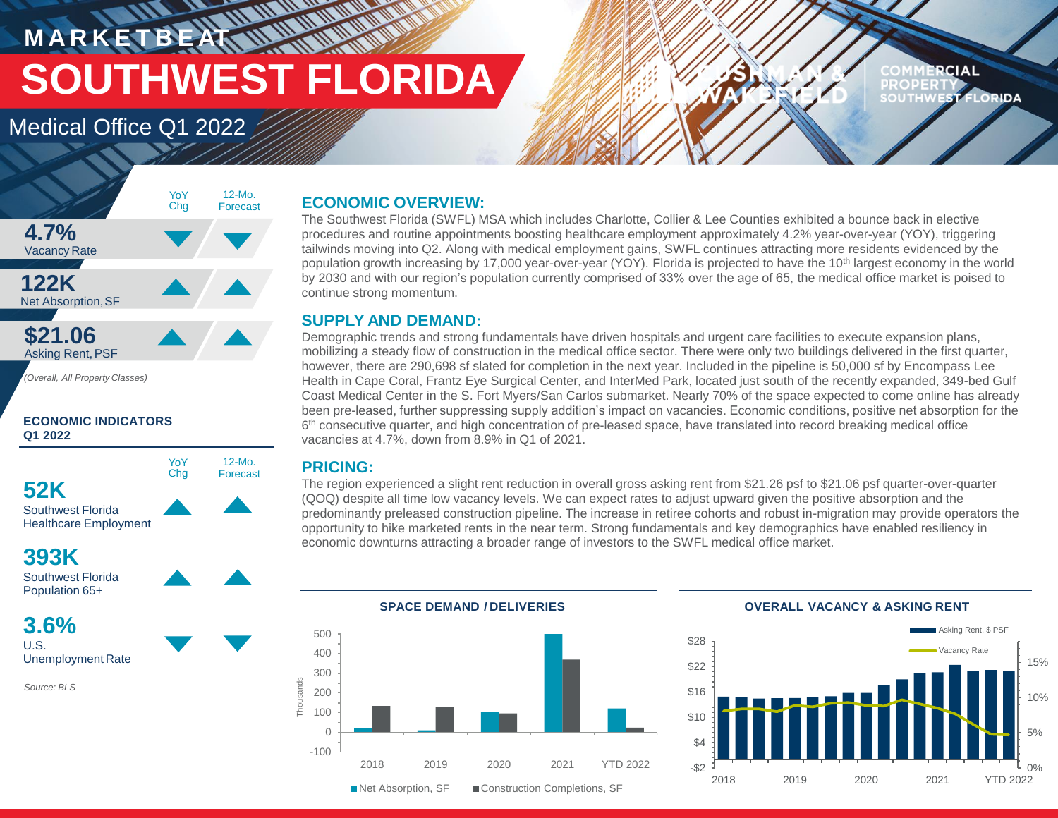## **MANAR M A R K E T B E AT SOUTHWEST FLORIDA**

### Medical Office Q1 2022

#### **RCIAL PROPERT EST FLORIDA**



#### **ECONOMIC INDICATORS Q1 2022**



### **393K**



**3.6%** U.S.



*Source: BLS*

#### **ECONOMIC OVERVIEW:**

The Southwest Florida (SWFL) MSA which includes Charlotte, Collier & Lee Counties exhibited a bounce back in elective procedures and routine appointments boosting healthcare employment approximately 4.2% year-over-year (YOY), triggering tailwinds moving into Q2. Along with medical employment gains, SWFL continues attracting more residents evidenced by the population growth increasing by 17,000 year-over-year (YOY). Florida is projected to have the 10<sup>th</sup> largest economy in the world by 2030 and with our region's population currently comprised of 33% over the age of 65, the medical office market is poised to continue strong momentum.

#### **SUPPLY AND DEMAND:**

Demographic trends and strong fundamentals have driven hospitals and urgent care facilities to execute expansion plans, mobilizing a steady flow of construction in the medical office sector. There were only two buildings delivered in the first quarter, however, there are 290,698 sf slated for completion in the next year. Included in the pipeline is 50,000 sf by Encompass Lee Health in Cape Coral, Frantz Eye Surgical Center, and InterMed Park, located just south of the recently expanded, 349-bed Gulf Coast Medical Center in the S. Fort Myers/San Carlos submarket. Nearly 70% of the space expected to come online has already been pre-leased, further suppressing supply addition's impact on vacancies. Economic conditions, positive net absorption for the 6<sup>th</sup> consecutive quarter, and high concentration of pre-leased space, have translated into record breaking medical office vacancies at 4.7%, down from 8.9% in Q1 of 2021.

#### **PRICING:**

The region experienced a slight rent reduction in overall gross asking rent from \$21.26 psf to \$21.06 psf quarter-over-quarter (QOQ) despite all time low vacancy levels. We can expect rates to adjust upward given the positive absorption and the predominantly preleased construction pipeline. The increase in retiree cohorts and robust in-migration may provide operators the opportunity to hike marketed rents in the near term. Strong fundamentals and key demographics have enabled resiliency in economic downturns attracting a broader range of investors to the SWFL medical office market.





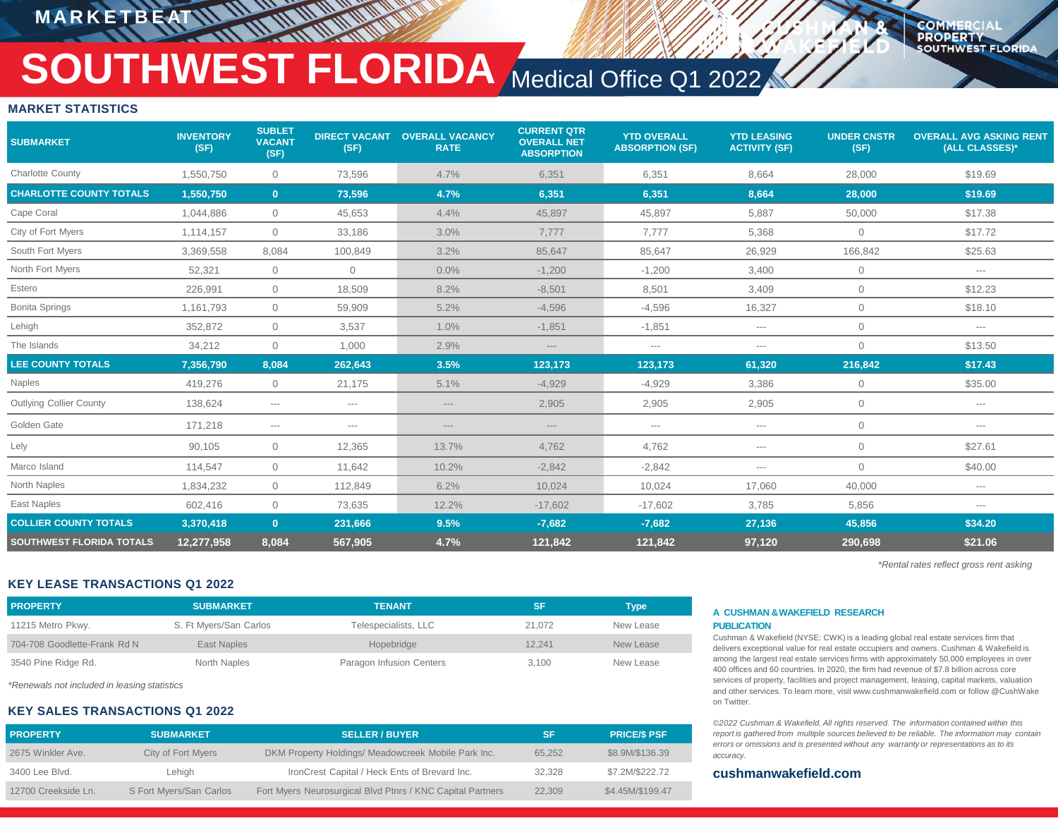**M A R K E T B E AT**

#### **COMMERCIA PROPERTY SOUTHWEST FLORIDA**

# **SOUTHWEST FLORIDA** Medical Office Q1 2022

#### **MARKET STATISTICS**

| <b>SUBMARKET</b>                | <b>INVENTORY</b><br>(SF) | <b>SUBLET</b><br><b>VACANT</b><br>(SF) | <b>DIRECT VACANT</b><br>(SF) | <b>OVERALL VACANCY</b><br><b>RATE</b> | <b>CURRENT QTR</b><br><b>OVERALL NET</b><br><b>ABSORPTION</b> | <b>YTD OVERALL</b><br><b>ABSORPTION (SF)</b> | <b>YTD LEASING</b><br><b>ACTIVITY (SF)</b> | <b>UNDER CNSTR</b><br>(SF) | <b>OVERALL AVG ASKING RENT</b><br>(ALL CLASSES)* |
|---------------------------------|--------------------------|----------------------------------------|------------------------------|---------------------------------------|---------------------------------------------------------------|----------------------------------------------|--------------------------------------------|----------------------------|--------------------------------------------------|
| <b>Charlotte County</b>         | 1,550,750                | $\overline{0}$                         | 73,596                       | 4.7%                                  | 6,351                                                         | 6,351                                        | 8,664                                      | 28,000                     | \$19.69                                          |
| <b>CHARLOTTE COUNTY TOTALS</b>  | 1,550,750                | $\mathbf{0}$                           | 73,596                       | 4.7%                                  | 6,351                                                         | 6,351                                        | 8,664                                      | 28,000                     | \$19.69                                          |
| Cape Coral                      | 1,044,886                | $\overline{0}$                         | 45,653                       | 4.4%                                  | 45,897                                                        | 45,897                                       | 5,887                                      | 50,000                     | \$17.38                                          |
| City of Fort Myers              | 1,114,157                | $\overline{0}$                         | 33,186                       | 3.0%                                  | 7,777                                                         | 7,777                                        | 5,368                                      | $\overline{0}$             | \$17.72                                          |
| South Fort Myers                | 3,369,558                | 8,084                                  | 100,849                      | 3.2%                                  | 85,647                                                        | 85,647                                       | 26,929                                     | 166,842                    | \$25.63                                          |
| North Fort Myers                | 52,321                   | $\mathbf{0}$                           | $\overline{0}$               | 0.0%                                  | $-1,200$                                                      | $-1,200$                                     | 3,400                                      | $\overline{0}$             | $---$                                            |
| Estero                          | 226,991                  | $\overline{0}$                         | 18,509                       | 8.2%                                  | $-8,501$                                                      | 8,501                                        | 3,409                                      | $\mathbf 0$                | \$12.23                                          |
| <b>Bonita Springs</b>           | 1,161,793                | $\overline{0}$                         | 59,909                       | 5.2%                                  | $-4,596$                                                      | $-4,596$                                     | 16,327                                     | $\overline{0}$             | \$18.10                                          |
| Lehigh                          | 352,872                  | $\overline{0}$                         | 3,537                        | 1.0%                                  | $-1,851$                                                      | $-1,851$                                     | $--$                                       | $\overline{0}$             | $\cdots$                                         |
| The Islands                     | 34,212                   | $\overline{0}$                         | 1,000                        | 2.9%                                  | $\cdots$                                                      | $---$                                        | $---$                                      | $\mathbf{0}$               | \$13.50                                          |
| <b>LEE COUNTY TOTALS</b>        | 7,356,790                | 8,084                                  | 262,643                      | 3.5%                                  | 123,173                                                       | 123,173                                      | 61,320                                     | 216,842                    | \$17.43                                          |
| Naples                          | 419,276                  | $\overline{0}$                         | 21,175                       | 5.1%                                  | $-4,929$                                                      | $-4,929$                                     | 3,386                                      | $\mathbf 0$                | \$35.00                                          |
| <b>Outlying Collier County</b>  | 138,624                  | $\qquad \qquad - -$                    | $\qquad \qquad - -$          | $\qquad \qquad - -$                   | 2,905                                                         | 2,905                                        | 2,905                                      | $\overline{0}$             | $\qquad \qquad - -$                              |
| Golden Gate                     | 171,218                  | $\qquad \qquad - -$                    | $\qquad \qquad - -$          | $\qquad \qquad - -$                   | $\cdots$                                                      | $\qquad \qquad - -$                          | $---$                                      | $\overline{0}$             | $\qquad \qquad - -$                              |
| Lely                            | 90,105                   | $\overline{0}$                         | 12,365                       | 13.7%                                 | 4,762                                                         | 4,762                                        | $\qquad \qquad - -$                        | $\mathbf 0$                | \$27.61                                          |
| Marco Island                    | 114,547                  | $\overline{0}$                         | 11,642                       | 10.2%                                 | $-2,842$                                                      | $-2,842$                                     | $--$                                       | $\overline{0}$             | \$40.00                                          |
| North Naples                    | 1,834,232                | $\overline{0}$                         | 112,849                      | 6.2%                                  | 10,024                                                        | 10,024                                       | 17.060                                     | 40,000                     | $\qquad \qquad - -$                              |
| East Naples                     | 602,416                  | $\overline{0}$                         | 73,635                       | 12.2%                                 | $-17,602$                                                     | $-17,602$                                    | 3,785                                      | 5,856                      | $\qquad \qquad - -$                              |
| <b>COLLIER COUNTY TOTALS</b>    | 3,370,418                | $\mathbf{0}$                           | 231,666                      | 9.5%                                  | $-7,682$                                                      | $-7,682$                                     | 27,136                                     | 45,856                     | \$34.20                                          |
| <b>SOUTHWEST FLORIDA TOTALS</b> | 12,277,958               | 8,084                                  | 567,905                      | 4.7%                                  | 121,842                                                       | 121,842                                      | 97,120                                     | 290,698                    | \$21.06                                          |

*\*Rental rates reflect gross rent asking*

#### **KEY LEASE TRANSACTIONS Q1 2022**

| <b>PROPERTY</b>              | <b>SUBMARKET</b>       | <b>TENANT</b>            | SF     | Type      |
|------------------------------|------------------------|--------------------------|--------|-----------|
| 11215 Metro Pkwy.            | S. Ft Myers/San Carlos | Telespecialists, LLC     | 21.072 | New Lease |
| 704-708 Goodlette-Frank Rd N | East Naples            | Hopebridge               | 12.241 | New Lease |
| 3540 Pine Ridge Rd.          | North Naples           | Paragon Infusion Centers | 3.100  | New Lease |

*\*Renewals not included in leasing statistics*

#### **KEY SALES TRANSACTIONS Q1 2022**

| <b>PROPERTY</b>     | <b>SUBMARKET</b>        | <b>SELLER / BUYER</b>                                      | <b>SF</b> | <b>PRICE/S PSF</b> |
|---------------------|-------------------------|------------------------------------------------------------|-----------|--------------------|
| 2675 Winkler Ave.   | City of Fort Myers      | DKM Property Holdings/ Meadowcreek Mobile Park Inc.        | 65.252    | \$8.9M/\$136.39    |
| 3400 Lee Blvd.      | Lehigh                  | IronCrest Capital / Heck Ents of Brevard Inc.              | 32.328    | \$7.2M/\$222.72    |
| 12700 Creekside Ln. | S Fort Myers/San Carlos | Fort Myers Neurosurgical Blvd Ptnrs / KNC Capital Partners | 22.309    | \$4.45M/\$199.47   |

#### **A CUSHMAN &WAKEFIELD RESEARCH PUBLICATION**

Cushman & Wakefield (NYSE: CWK) is a leading global real estate services firm that delivers exceptional value for real estate occupiers and owners. Cushman & Wakefield is among the largest real estate services firms with approximately 50,000 employees in over 400 offices and 60 countries. In 2020, the firm had revenue of \$7.8 billion across core services of property, facilities and project management, leasing, capital markets, valuation and other services. To learn more, visit www.cushmanwakefield.com or follow @CushWake on Twitter.

*©2022 Cushman & Wakefield. All rights reserved. The information contained within this report is gathered from multiple sources believed to be reliable. The information may contain errors or omissions and is presented without any warranty or representations as to its accuracy.*

#### **cushmanwakefield.com**